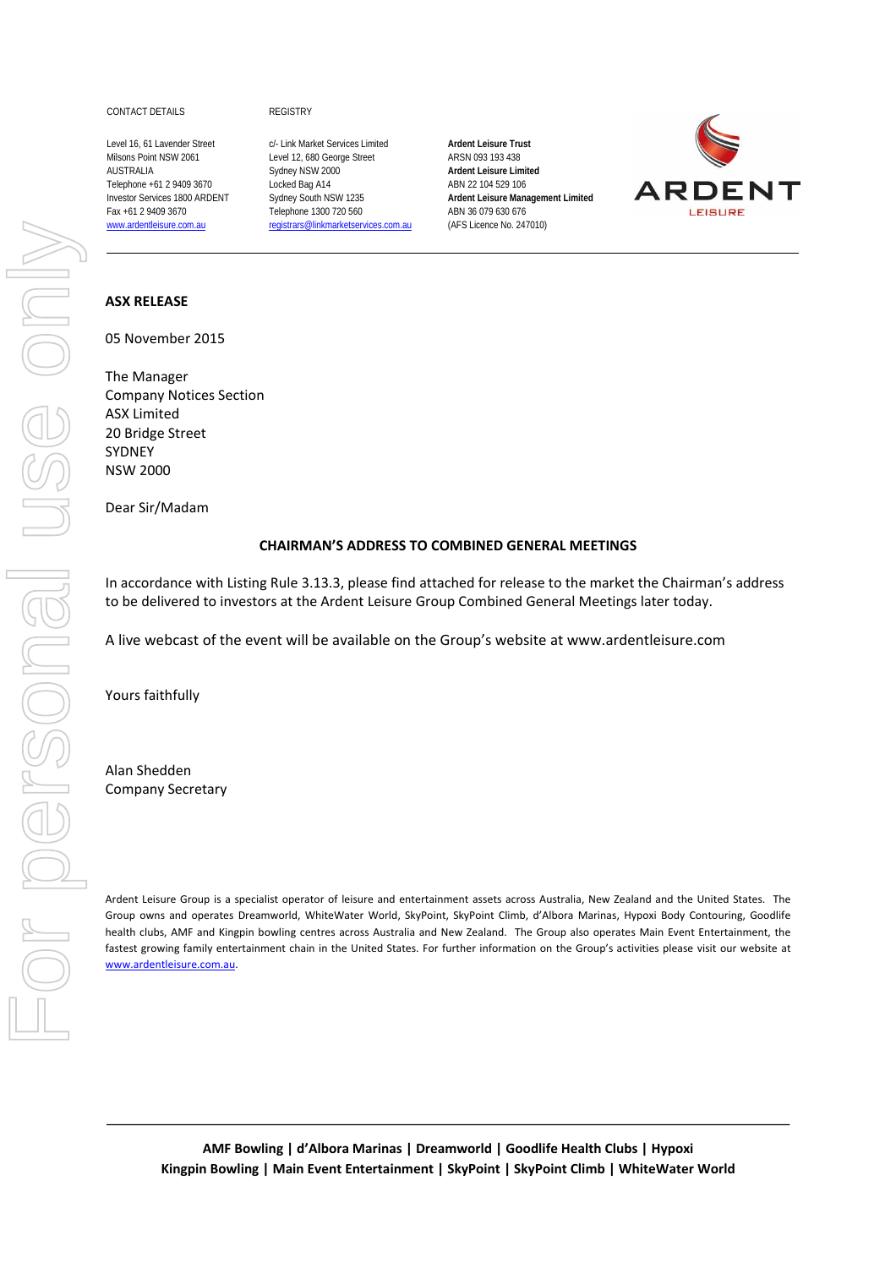## CONTACT DETAILS REGISTRY

Level 16, 61 Lavender Street c/- Link Market Services Limited **Ardent Leisure Trust** Milsons Point NSW 2061 Level 12, 680 George Street ARSN 093 193 438 AUSTRALIA Sydney NSW 2000 **Ardent Leisure Limited** Telephone +61 2 9409 3670 Locked Bag A14 ABN 22 104 529 106 Investor Services 1800 ARDENT Sydney South NSW 1235 **Ardent Leisure Management Limited** Fax +61 2 9409 3670 Telephone 1300 720 560 ABN 36 079 630 676 www.ardentleisure.com.au registrars@linkmarketservices.com.au (AFS Licence No. 247010)



## **ASX RELEASE**

05 November 2015

The Manager Company Notices Section ASX Limited 20 Bridge Street SYDNEY NSW 2000

Dear Sir/Madam

## **CHAIRMAN'S ADDRESS TO COMBINED GENERAL MEETINGS**

In accordance with Listing Rule 3.13.3, please find attached for release to the market the Chairman's address to be delivered to investors at the Ardent Leisure Group Combined General Meetings later today.

A live webcast of the event will be available on the Group's website at www.ardentleisure.com

Yours faithfully

Alan Shedden Company Secretary

Ardent Leisure Group is a specialist operator of leisure and entertainment assets across Australia, New Zealand and the United States. The Group owns and operates Dreamworld, WhiteWater World, SkyPoint, SkyPoint Climb, d'Albora Marinas, Hypoxi Body Contouring, Goodlife health clubs, AMF and Kingpin bowling centres across Australia and New Zealand. The Group also operates Main Event Entertainment, the fastest growing family entertainment chain in the United States. For further information on the Group's activities please visit our website at www.ardentleisure.com.au.

**AMF Bowling | d'Albora Marinas | Dreamworld | Goodlife Health Clubs | Hypoxi Kingpin Bowling | Main Event Entertainment | SkyPoint | SkyPoint Climb | WhiteWater World**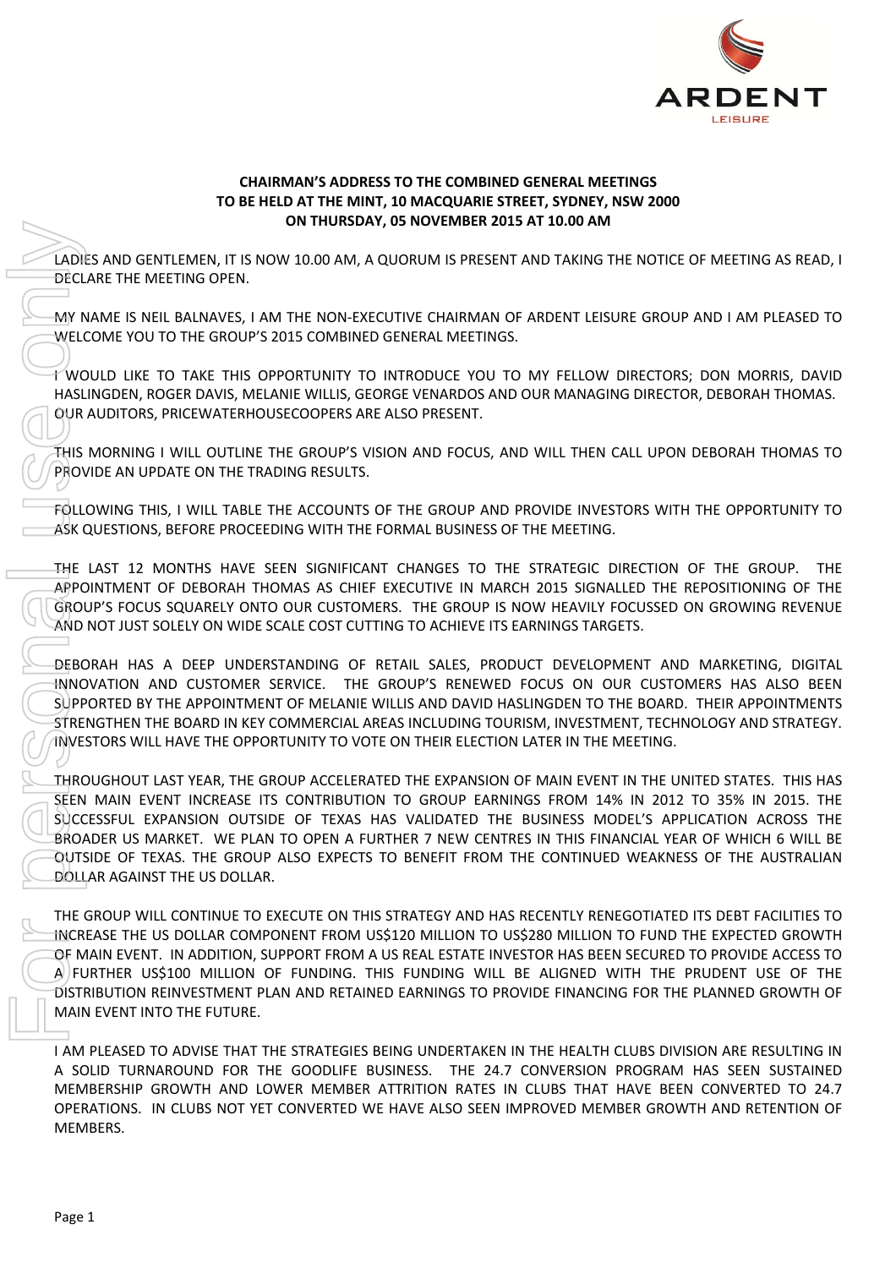

## **CHAIRMAN'S ADDRESS TO THE COMBINED GENERAL MEETINGS TO BE HELD AT THE MINT, 10 MACQUARIE STREET, SYDNEY, NSW 2000 ON THURSDAY, 05 NOVEMBER 2015 AT 10.00 AM**

LADIES AND GENTLEMEN, IT IS NOW 10.00 AM, A QUORUM IS PRESENT AND TAKING THE NOTICE OF MEETING AS READ, I DECLARE THE MEETING OPEN.

MY NAME IS NEIL BALNAVES, I AM THE NON‐EXECUTIVE CHAIRMAN OF ARDENT LEISURE GROUP AND I AM PLEASED TO WELCOME YOU TO THE GROUP'S 2015 COMBINED GENERAL MEETINGS.

I WOULD LIKE TO TAKE THIS OPPORTUNITY TO INTRODUCE YOU TO MY FELLOW DIRECTORS; DON MORRIS, DAVID HASLINGDEN, ROGER DAVIS, MELANIE WILLIS, GEORGE VENARDOS AND OUR MANAGING DIRECTOR, DEBORAH THOMAS. OUR AUDITORS, PRICEWATERHOUSECOOPERS ARE ALSO PRESENT.

THIS MORNING I WILL OUTLINE THE GROUP'S VISION AND FOCUS, AND WILL THEN CALL UPON DEBORAH THOMAS TO PROVIDE AN UPDATE ON THE TRADING RESULTS.

FOLLOWING THIS, I WILL TABLE THE ACCOUNTS OF THE GROUP AND PROVIDE INVESTORS WITH THE OPPORTUNITY TO ASK QUESTIONS, BEFORE PROCEEDING WITH THE FORMAL BUSINESS OF THE MEETING.

THE LAST 12 MONTHS HAVE SEEN SIGNIFICANT CHANGES TO THE STRATEGIC DIRECTION OF THE GROUP. THE APPOINTMENT OF DEBORAH THOMAS AS CHIEF EXECUTIVE IN MARCH 2015 SIGNALLED THE REPOSITIONING OF THE GROUP'S FOCUS SQUARELY ONTO OUR CUSTOMERS. THE GROUP IS NOW HEAVILY FOCUSSED ON GROWING REVENUE AND NOT JUST SOLELY ON WIDE SCALE COST CUTTING TO ACHIEVE ITS EARNINGS TARGETS.

DEBORAH HAS A DEEP UNDERSTANDING OF RETAIL SALES, PRODUCT DEVELOPMENT AND MARKETING, DIGITAL INNOVATION AND CUSTOMER SERVICE. THE GROUP'S RENEWED FOCUS ON OUR CUSTOMERS HAS ALSO BEEN SUPPORTED BY THE APPOINTMENT OF MELANIE WILLIS AND DAVID HASLINGDEN TO THE BOARD. THEIR APPOINTMENTS STRENGTHEN THE BOARD IN KEY COMMERCIAL AREAS INCLUDING TOURISM, INVESTMENT, TECHNOLOGY AND STRATEGY. INVESTORS WILL HAVE THE OPPORTUNITY TO VOTE ON THEIR ELECTION LATER IN THE MEETING.

THROUGHOUT LAST YEAR, THE GROUP ACCELERATED THE EXPANSION OF MAIN EVENT IN THE UNITED STATES. THIS HAS SEEN MAIN EVENT INCREASE ITS CONTRIBUTION TO GROUP EARNINGS FROM 14% IN 2012 TO 35% IN 2015. THE SUCCESSFUL EXPANSION OUTSIDE OF TEXAS HAS VALIDATED THE BUSINESS MODEL'S APPLICATION ACROSS THE BROADER US MARKET. WE PLAN TO OPEN A FURTHER 7 NEW CENTRES IN THIS FINANCIAL YEAR OF WHICH 6 WILL BE OUTSIDE OF TEXAS. THE GROUP ALSO EXPECTS TO BENEFIT FROM THE CONTINUED WEAKNESS OF THE AUSTRALIAN DOLLAR AGAINST THE US DOLLAR.

THE GROUP WILL CONTINUE TO EXECUTE ON THIS STRATEGY AND HAS RECENTLY RENEGOTIATED ITS DEBT FACILITIES TO INCREASE THE US DOLLAR COMPONENT FROM US\$120 MILLION TO US\$280 MILLION TO FUND THE EXPECTED GROWTH OF MAIN EVENT. IN ADDITION, SUPPORT FROM A US REAL ESTATE INVESTOR HAS BEEN SECURED TO PROVIDE ACCESS TO  $\mathsf{A}\vert$  FURTHER US\$100 MILLION OF FUNDING. THIS FUNDING WILL BE ALIGNED WITH THE PRUDENT USE OF THE DISTRIBUTION REINVESTMENT PLAN AND RETAINED EARNINGS TO PROVIDE FINANCING FOR THE PLANNED GROWTH OF MAIN EVENT INTO THE FUTURE.

I AM PLEASED TO ADVISE THAT THE STRATEGIES BEING UNDERTAKEN IN THE HEALTH CLUBS DIVISION ARE RESULTING IN A SOLID TURNAROUND FOR THE GOODLIFE BUSINESS. THE 24.7 CONVERSION PROGRAM HAS SEEN SUSTAINED MEMBERSHIP GROWTH AND LOWER MEMBER ATTRITION RATES IN CLUBS THAT HAVE BEEN CONVERTED TO 24.7 OPERATIONS. IN CLUBS NOT YET CONVERTED WE HAVE ALSO SEEN IMPROVED MEMBER GROWTH AND RETENTION OF MEMBERS.